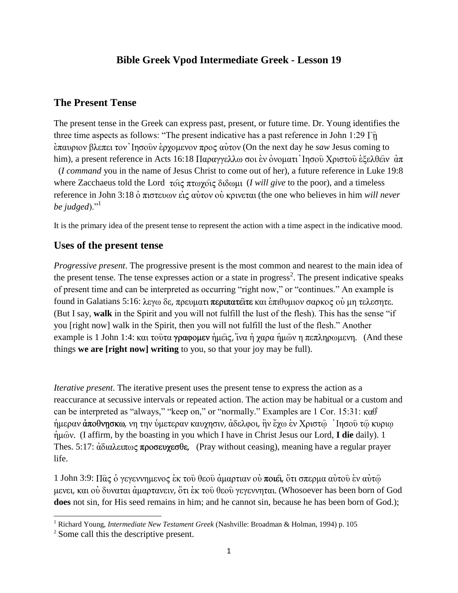## **Bible Greek Vpod Intermediate Greek - Lesson 19**

## **The Present Tense**

The present tense in the Greek can express past, present, or future time. Dr. Young identifies the three time aspects as follows: "The present indicative has a past reference in John 1:29  $\Gamma_{\Pi}$  $\epsilon \pi \alpha \nu \rho \nu \rho \rho \rho \sigma \rho \nu$  (On the next day he *saw* Jesus coming to him), a present reference in Acts 16:18 Παραγγελλω σοι έν όνοματι Ίησου Χριστου εξελθειν άπ (*I command* you in the name of Jesus Christ to come out of her), a future reference in Luke 19:8 where Zacchaeus told the Lord τοις πτωχοίς διδωμι (*I will give* to the poor), and a timeless reference in John 3:18 <u>δ</u> πιστευων είς αύτον ού κρινεται (the one who believes in him *will never be judged*)."<sup>1</sup>

It is the primary idea of the present tense to represent the action with a time aspect in the indicative mood.

## **Uses of the present tense**

*Progressive present*. The progressive present is the most common and nearest to the main idea of the present tense. The tense expresses action or a state in progress<sup>2</sup>. The present indicative speaks of present time and can be interpreted as occurring "right now," or "continues." An example is found in Galatians 5:16: λεγω δε, πρευματι περιπατείτε και έπιθυμιον σαρκος ού μη τελεσητε. (But I say, **walk** in the Spirit and you will not fulfill the lust of the flesh). This has the sense "if you [right now] walk in the Spirit, then you will not fulfill the lust of the flesh." Another example is 1 John 1:4: και τούτα γραφομεν ήμεις, ίνα ή χαρα ήμῶν η πεπληρωμενη. (And these things **we are [right now] writing** to you, so that your joy may be full).

*Iterative present*. The iterative present uses the present tense to express the action as a reaccurance at secussive intervals or repeated action. The action may be habitual or a custom and can be interpreted as "always," "keep on," or "normally." Examples are 1 Cor. 15:31:  $\kappa \alpha \theta$ ημεραν άποθνησκω, νη την υμετεραν καυχησιν, άδελφοι, ην έχω εν Χριστώ 'Ιησού τώ κυριω (I affirm, by the boasting in you which I have in Christ Jesus our Lord, **I die** daily). 1 Thes. 5:17:  $\dot{\alpha}$ διαλειπως προσευχεσθε, (Pray without ceasing), meaning have a regular prayer life.

1 John 3:9: Πας ο γεγεννημενος εκ του θεου αμαρτιαν ου ποιει, ότι σπερμα αυτου εν αυτώ μενει, και ού δυναται άμαρτανειν, ότι έκ του θεου γεγεννηται. (Whosoever has been born of God **does** not sin, for His seed remains in him; and he cannot sin, because he has been born of God.);

 $\overline{\phantom{a}}$ 

<sup>1</sup> Richard Young, *Intermediate New Testament Greek* (Nashville: Broadman & Holman, 1994) p. 105

<sup>2</sup> Some call this the descriptive present.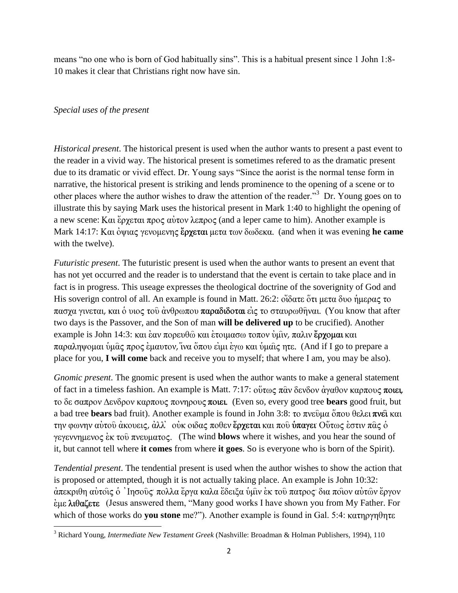means "no one who is born of God habitually sins". This is a habitual present since 1 John 1:8- 10 makes it clear that Christians right now have sin.

## *Special uses of the present*

*Historical present*. The historical present is used when the author wants to present a past event to the reader in a vivid way. The historical present is sometimes refered to as the dramatic present due to its dramatic or vivid effect. Dr. Young says "Since the aorist is the normal tense form in narrative, the historical present is striking and lends prominence to the opening of a scene or to other places where the author wishes to draw the attention of the reader.<sup>3</sup> Dr. Young goes on to illustrate this by saying Mark uses the historical present in Mark 1:40 to highlight the opening of a new scene: Και έρχεται προς αύτον λεπρος (and a leper came to him). Another example is Mark 14:17: Και όψιας γενομενης έρχεται μετα των δωδεκα. (and when it was evening he came with the twelve).

*Futuristic present*. The futuristic present is used when the author wants to present an event that has not yet occurred and the reader is to understand that the event is certain to take place and in fact is in progress. This useage expresses the theological doctrine of the soverignity of God and His soverign control of all. An example is found in Matt. 26:2: οι δατε ότι μετα δυο ήμερας το  $\pi\alpha\sigma\gamma\alpha$  γινεται, και ο υιος του ανθρωπου παραδιδοται είς το σταυρωθηναι. (You know that after two days is the Passover, and the Son of man **will be delivered up** to be crucified). Another example is John 14:3: και έαν πορευθώ και έτοιμασω τοπον ύμιν, παλιν έρχομαι και παραληψομαι υμάς προς εμαυτον, ίνα όπου είμι εγω και υμαίς ητε. (And if I go to prepare a place for you, **I will come** back and receive you to myself; that where I am, you may be also).

*Gnomic present*. The gnomic present is used when the author wants to make a general statement of fact in a timeless fashion. An example is Matt. 7:17:  $\omega \tilde{\tau} \omega \tilde{\tau} \tilde{\alpha} \nu \delta \tilde{\epsilon} \nu \delta \tilde{\alpha} \nu \tilde{\alpha} \nu \tilde{\alpha} \nu \tilde{\alpha} \nu \tilde{\alpha} \nu \tilde{\alpha} \nu \tilde{\alpha} \nu \tilde{\alpha} \nu \tilde{\alpha} \nu \tilde{\alpha} \nu \tilde{\alpha} \nu \tilde{\alpha} \nu \tilde{\alpha} \nu \tilde{\alpha} \nu \tilde{\alpha} \nu \tilde{\alpha} \$ το δε σαπρον Δενδρον καρπους πονηρους ποιει. (Even so, every good tree **bears** good fruit, but a bad tree **bears** bad fruit). Another example is found in John 3:8: την φωνην αύτου άκουεις, άλλ' ούκ οιδας ποθεν έργεται και που ύπαγει Ούτως έστιν πας ο  $\gamma$  eyevvnuevos  $\dot{\epsilon}$  k  $\tau$  to  $\dot{\upsilon}$   $\pi$  vevu $\alpha$  to  $\epsilon$ . (The wind **blows** where it wishes, and you hear the sound of it, but cannot tell where **it comes** from where **it goes**. So is everyone who is born of the Spirit).

*Tendential present*. The tendential present is used when the author wishes to show the action that is proposed or attempted, though it is not actually taking place. An example is John 10:32: άπεκριθη αύτοις ο 'Ιησούς πολλα έργα καλα έδειξα υμιν εκ του πατρος δια ποιον αυτών έργον  $\epsilon$ us  $\lambda t \theta \alpha \zeta$  (Jesus answered them, "Many good works I have shown you from My Father. For which of those works do **you stone** me?"). Another example is found in Gal. 5:4: κατηργηθητε

 $\overline{\phantom{a}}$ <sup>3</sup> Richard Young, *Intermediate New Testament Greek* (Nashville: Broadman & Holman Publishers, 1994), 110